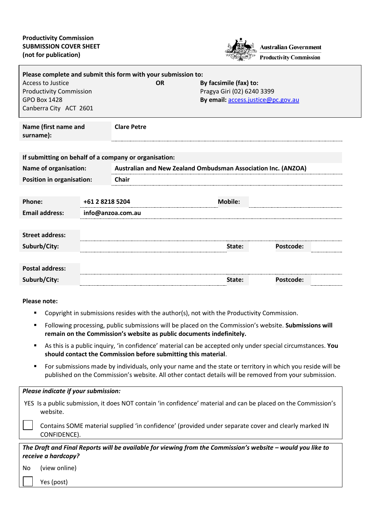

| Please complete and submit this form with your submission to: |                   |                                                               |                                    |                        |  |
|---------------------------------------------------------------|-------------------|---------------------------------------------------------------|------------------------------------|------------------------|--|
| Access to Justice                                             |                   | <b>OR</b>                                                     |                                    | By facsimile (fax) to: |  |
| <b>Productivity Commission</b>                                |                   |                                                               | Pragya Giri (02) 6240 3399         |                        |  |
| <b>GPO Box 1428</b>                                           |                   |                                                               | By email: access.justice@pc.gov.au |                        |  |
| Canberra City ACT 2601                                        |                   |                                                               |                                    |                        |  |
|                                                               |                   |                                                               |                                    |                        |  |
| Name (first name and<br>surname):                             |                   | <b>Clare Petre</b>                                            |                                    |                        |  |
|                                                               |                   |                                                               |                                    |                        |  |
|                                                               |                   | If submitting on behalf of a company or organisation:         |                                    |                        |  |
| <b>Name of organisation:</b>                                  |                   | Australian and New Zealand Ombudsman Association Inc. (ANZOA) |                                    |                        |  |
| <b>Position in organisation:</b>                              |                   | <b>Chair</b>                                                  |                                    |                        |  |
|                                                               |                   |                                                               |                                    |                        |  |
| Phone:                                                        | +61 2 8218 5204   |                                                               | <b>Mobile:</b>                     |                        |  |
| <b>Email address:</b>                                         | info@anzoa.com.au |                                                               |                                    |                        |  |
|                                                               |                   |                                                               |                                    |                        |  |
| <b>Street address:</b>                                        |                   |                                                               |                                    |                        |  |
| Suburb/City:                                                  |                   |                                                               | State:                             | <b>Postcode:</b>       |  |
|                                                               |                   |                                                               |                                    |                        |  |
| <b>Postal address:</b>                                        |                   |                                                               |                                    |                        |  |
| Suburb/City:                                                  |                   |                                                               | State:                             | Postcode:              |  |
|                                                               |                   |                                                               |                                    |                        |  |
|                                                               |                   |                                                               |                                    |                        |  |

#### **Please note:**

Yes (post)

- **[Copyright](http://www.pc.gov.au/legal/copyright.html) in submissions resides with the author(s), not with the Productivity Commission.**
- Following processing, public submissions will be placed on the Commission's website. **Submissions will remain on the Commission's website as public documents indefinitely.**
- As this is a public inquiry, 'in confidence' material can be accepted only under special circumstances. **You should contact the Commission before submitting this material**.
- For submissions made by individuals, only your name and the state or territory in which you reside will be published on the Commission's website. All other contact details will be removed from your submission.

|    | Please indicate if your submission:                                                                                        |
|----|----------------------------------------------------------------------------------------------------------------------------|
|    | YES Is a public submission, it does NOT contain 'in confidence' material and can be placed on the Commission's<br>website. |
|    | Contains SOME material supplied 'in confidence' (provided under separate cover and clearly marked IN<br>CONFIDENCE).       |
|    | The Draft and Final Reports will be available for viewing from the Commission's website - would you like to                |
|    | receive a hardcopy?                                                                                                        |
| No | (view online)                                                                                                              |
|    |                                                                                                                            |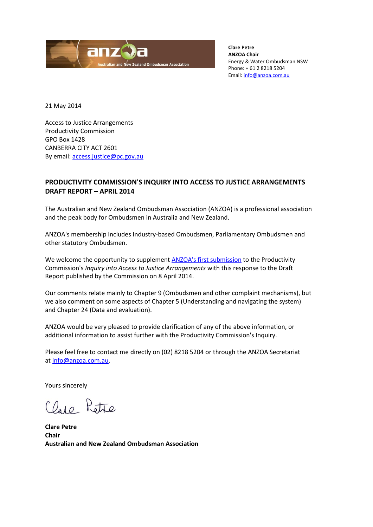

**Clare Petre ANZOA Chair** Energy & Water Ombudsman NSW Phone: + 61 2 8218 5204 Email: [info@anzoa.com.au](mailto:info@anzoa.com.au)

21 May 2014

Access to Justice Arrangements Productivity Commission GPO Box 1428 CANBERRA CITY ACT 2601 By email: [access.justice@pc.gov.au](mailto:access.justice@pc.gov.au)

## **PRODUCTIVITY COMMISSION'S INQUIRY INTO ACCESS TO JUSTICE ARRANGEMENTS DRAFT REPORT – APRIL 2014**

The Australian and New Zealand Ombudsman Association (ANZOA) is a professional association and the peak body for Ombudsmen in Australia and New Zealand.

ANZOA's membership includes Industry-based Ombudsmen, Parliamentary Ombudsmen and other statutory Ombudsmen.

We welcome the opportunity to supplement [ANZOA's first submission](http://www.pc.gov.au/__data/assets/pdf_file/0005/131288/sub133-access-justice.pdf) to the Productivity Commission's *Inquiry into Access to Justice Arrangements* with this response to the Draft Report published by the Commission on 8 April 2014.

Our comments relate mainly to Chapter 9 (Ombudsmen and other complaint mechanisms), but we also comment on some aspects of Chapter 5 (Understanding and navigating the system) and Chapter 24 (Data and evaluation).

ANZOA would be very pleased to provide clarification of any of the above information, or additional information to assist further with the Productivity Commission's Inquiry.

Please feel free to contact me directly on (02) 8218 5204 or through the ANZOA Secretariat a[t info@anzoa.com.au.](mailto:info@anzoa.com.au)

Yours sincerely

Clare Petre

**Clare Petre Chair Australian and New Zealand Ombudsman Association**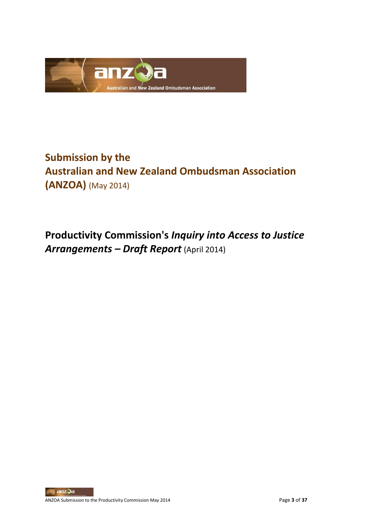

# **Submission by the Australian and New Zealand Ombudsman Association (ANZOA)** (May 2014)

**Productivity Commission's** *Inquiry into Access to Justice Arrangements – Draft Report* (April 2014)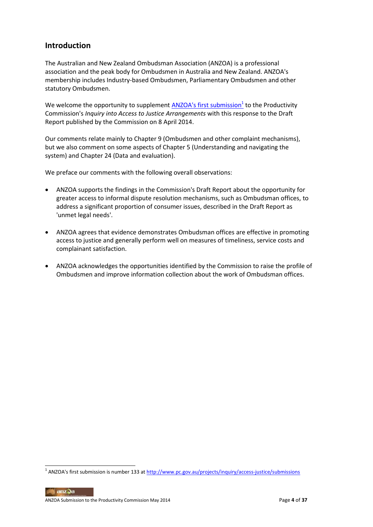## **Introduction**

The Australian and New Zealand Ombudsman Association (ANZOA) is a professional association and the peak body for Ombudsmen in Australia and New Zealand. ANZOA's membership includes Industry-based Ombudsmen, Parliamentary Ombudsmen and other statutory Ombudsmen.

We welcome the opportunity to supplement <u>ANZOA's first submission<sup>1</sup></u> to the Productivity Commission's *Inquiry into Access to Justice Arrangements* with this response to the Draft Report published by the Commission on 8 April 2014.

Our comments relate mainly to Chapter 9 (Ombudsmen and other complaint mechanisms), but we also comment on some aspects of Chapter 5 (Understanding and navigating the system) and Chapter 24 (Data and evaluation).

We preface our comments with the following overall observations:

- ANZOA supports the findings in the Commission's Draft Report about the opportunity for greater access to informal dispute resolution mechanisms, such as Ombudsman offices, to address a significant proportion of consumer issues, described in the Draft Report as 'unmet legal needs'.
- ANZOA agrees that evidence demonstrates Ombudsman offices are effective in promoting access to justice and generally perform well on measures of timeliness, service costs and complainant satisfaction.
- ANZOA acknowledges the opportunities identified by the Commission to raise the profile of Ombudsmen and improve information collection about the work of Ombudsman offices.

<sup>&</sup>lt;sup>1</sup> ANZOA's first submission is number 133 at <u>http://www.pc.gov.au/projects/inquiry/access-justice/submissions</u>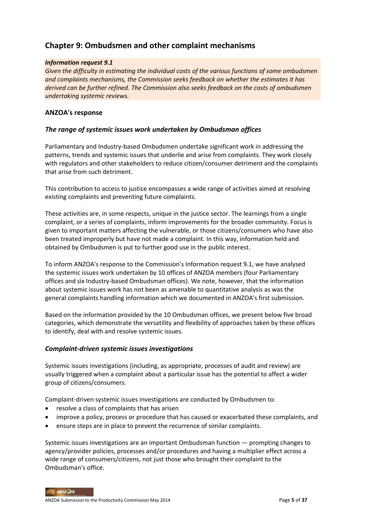## **Chapter 9: Ombudsmen and other complaint mechanisms**

#### *Information request 9.1*

*Given the difficulty in estimating the individual costs of the various functions of some ombudsmen and complaints mechanisms, the Commission seeks feedback on whether the estimates it has derived can be further refined. The Commission also seeks feedback on the costs of ombudsmen undertaking systemic reviews.*

#### **ANZOA's response**

#### *The range of systemic issues work undertaken by Ombudsman offices*

Parliamentary and Industry-based Ombudsmen undertake significant work in addressing the patterns, trends and systemic issues that underlie and arise from complaints. They work closely with regulators and other stakeholders to reduce citizen/consumer detriment and the complaints that arise from such detriment.

This contribution to access to justice encompasses a wide range of activities aimed at resolving existing complaints and preventing future complaints.

These activities are, in some respects, unique in the justice sector. The learnings from a single complaint, or a series of complaints, inform improvements for the broader community. Focus is given to important matters affecting the vulnerable, or those citizens/consumers who have also been treated improperly but have not made a complaint. In this way, information held and obtained by Ombudsmen is put to further good use in the public interest.

To inform ANZOA's response to the Commission's Information request 9.1, we have analysed the systemic issues work undertaken by 10 offices of ANZOA members (four Parliamentary offices and six Industry-based Ombudsman offices). We note, however, that the information about systemic issues work has not been as amenable to quantitative analysis as was the general complaints handling information which we documented in ANZOA's first submission.

Based on the information provided by the 10 Ombudsman offices, we present below five broad categories, which demonstrate the versatility and flexibility of approaches taken by these offices to identify, deal with and resolve systemic issues.

#### *Complaint-driven systemic issues investigations*

Systemic issues investigations (including, as appropriate, processes of audit and review) are usually triggered when a complaint about a particular issue has the potential to affect a wider group of citizens/consumers.

Complaint-driven systemic issues investigations are conducted by Ombudsmen to:

- resolve a class of complaints that has arisen
- improve a policy, process or procedure that has caused or exacerbated these complaints, and
- ensure steps are in place to prevent the recurrence of similar complaints.

Systemic issues investigations are an important Ombudsman function — prompting changes to agency/provider policies, processes and/or procedures and having a multiplier effect across a wide range of consumers/citizens, not just those who brought their complaint to the Ombudsman's office.

anzQa ANZOA Submission to the Productivity Commission May 2014 **Page 5** of 37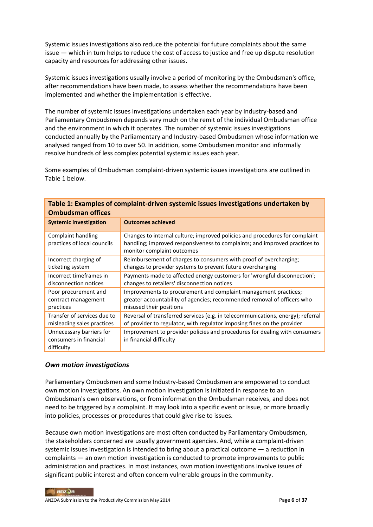Systemic issues investigations also reduce the potential for future complaints about the same issue — which in turn helps to reduce the cost of access to justice and free up dispute resolution capacity and resources for addressing other issues.

Systemic issues investigations usually involve a period of monitoring by the Ombudsman's office, after recommendations have been made, to assess whether the recommendations have been implemented and whether the implementation is effective.

The number of systemic issues investigations undertaken each year by Industry-based and Parliamentary Ombudsmen depends very much on the remit of the individual Ombudsman office and the environment in which it operates. The number of systemic issues investigations conducted annually by the Parliamentary and Industry-based Ombudsmen whose information we analysed ranged from 10 to over 50. In addition, some Ombudsmen monitor and informally resolve hundreds of less complex potential systemic issues each year.

Some examples of Ombudsman complaint-driven systemic issues investigations are outlined in Table 1 below.

| Table 1: Examples of complaint-driven systemic issues investigations undertaken by<br><b>Ombudsman offices</b> |                                                                                                                                                                                         |  |
|----------------------------------------------------------------------------------------------------------------|-----------------------------------------------------------------------------------------------------------------------------------------------------------------------------------------|--|
| <b>Systemic investigation</b>                                                                                  | <b>Outcomes achieved</b>                                                                                                                                                                |  |
| Complaint handling<br>practices of local councils                                                              | Changes to internal culture; improved policies and procedures for complaint<br>handling; improved responsiveness to complaints; and improved practices to<br>monitor complaint outcomes |  |
| Incorrect charging of                                                                                          | Reimbursement of charges to consumers with proof of overcharging;                                                                                                                       |  |
| ticketing system                                                                                               | changes to provider systems to prevent future overcharging                                                                                                                              |  |
| Incorrect timeframes in                                                                                        | Payments made to affected energy customers for 'wrongful disconnection';                                                                                                                |  |
| disconnection notices                                                                                          | changes to retailers' disconnection notices                                                                                                                                             |  |
| Poor procurement and                                                                                           | Improvements to procurement and complaint management practices;                                                                                                                         |  |
| contract management                                                                                            | greater accountability of agencies; recommended removal of officers who                                                                                                                 |  |
| practices                                                                                                      | misused their positions                                                                                                                                                                 |  |
| Transfer of services due to                                                                                    | Reversal of transferred services (e.g. in telecommunications, energy); referral                                                                                                         |  |
| misleading sales practices                                                                                     | of provider to regulator, with regulator imposing fines on the provider                                                                                                                 |  |
| Unnecessary barriers for<br>consumers in financial<br>difficulty                                               | Improvement to provider policies and procedures for dealing with consumers<br>in financial difficulty                                                                                   |  |

#### *Own motion investigations*

Parliamentary Ombudsmen and some Industry-based Ombudsmen are empowered to conduct own motion investigations. An own motion investigation is initiated in response to an Ombudsman's own observations, or from information the Ombudsman receives, and does not need to be triggered by a complaint. It may look into a specific event or issue, or more broadly into policies, processes or procedures that could give rise to issues.

Because own motion investigations are most often conducted by Parliamentary Ombudsmen, the stakeholders concerned are usually government agencies. And, while a complaint-driven systemic issues investigation is intended to bring about a practical outcome — a reduction in complaints — an own motion investigation is conducted to promote improvements to public administration and practices. In most instances, own motion investigations involve issues of significant public interest and often concern vulnerable groups in the community.

anzQa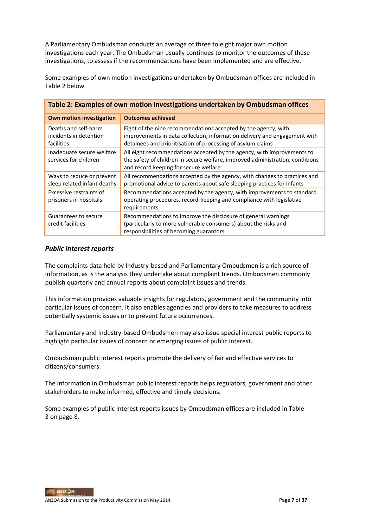A Parliamentary Ombudsman conducts an average of three to eight major own motion investigations each year. The Ombudsman usually continues to monitor the outcomes of these investigations, to assess if the recommendations have been implemented and are effective.

Some examples of own motion investigations undertaken by Ombudsman offices are included in Table 2 below.

| Table 2: Examples of own motion investigations undertaken by Ombudsman offices |                                                                                                                                                                                                            |  |
|--------------------------------------------------------------------------------|------------------------------------------------------------------------------------------------------------------------------------------------------------------------------------------------------------|--|
| <b>Own motion investigation</b>                                                | <b>Outcomes achieved</b>                                                                                                                                                                                   |  |
| Deaths and self-harm<br>incidents in detention<br>facilities                   | Eight of the nine recommendations accepted by the agency, with<br>improvements in data collection, information delivery and engagement with<br>detainees and prioritisation of processing of asylum claims |  |
| Inadequate secure welfare<br>services for children                             | All eight recommendations accepted by the agency, with improvements to<br>the safety of children in secure welfare, improved administration, conditions<br>and record keeping for secure welfare           |  |
| Ways to reduce or prevent<br>sleep related infant deaths                       | All recommendations accepted by the agency, with changes to practices and<br>promotional advice to parents about safe sleeping practices for infants                                                       |  |
| Excessive restraints of<br>prisoners in hospitals                              | Recommendations accepted by the agency, with improvements to standard<br>operating procedures, record-keeping and compliance with legislative<br>requirements                                              |  |
| Guarantees to secure<br>credit facilities                                      | Recommendations to improve the disclosure of general warnings<br>(particularly to more vulnerable consumers) about the risks and<br>responsibilities of becoming guarantors                                |  |

#### *Public interest reports*

The complaints data held by Industry-based and Parliamentary Ombudsmen is a rich source of information, as is the analysis they undertake about complaint trends. Ombudsmen commonly publish quarterly and annual reports about complaint issues and trends.

This information provides valuable insights for regulators, government and the community into particular issues of concern. It also enables agencies and providers to take measures to address potentially systemic issues or to prevent future occurrences.

Parliamentary and Industry-based Ombudsmen may also issue special interest public reports to highlight particular issues of concern or emerging issues of public interest.

Ombudsman public interest reports promote the delivery of fair and effective services to citizens/consumers.

The information in Ombudsman public interest reports helps regulators, government and other stakeholders to make informed, effective and timely decisions.

Some examples of public interest reports issues by Ombudsman offices are included in Table 3 on page 8.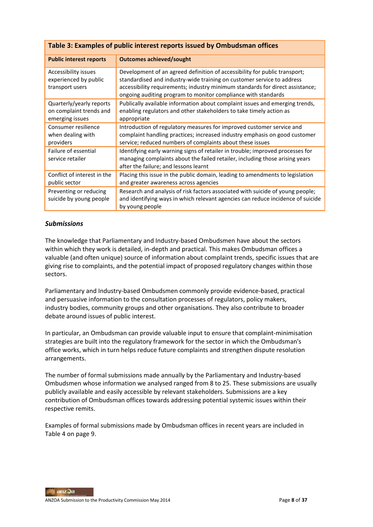| Table 3: Examples of public interest reports issued by Ombudsman offices |                                                                                                                                                                                                                                                                                                        |  |
|--------------------------------------------------------------------------|--------------------------------------------------------------------------------------------------------------------------------------------------------------------------------------------------------------------------------------------------------------------------------------------------------|--|
| <b>Public interest reports</b>                                           | <b>Outcomes achieved/sought</b>                                                                                                                                                                                                                                                                        |  |
| Accessibility issues<br>experienced by public<br>transport users         | Development of an agreed definition of accessibility for public transport;<br>standardised and industry-wide training on customer service to address<br>accessibility requirements; industry minimum standards for direct assistance;<br>ongoing auditing program to monitor compliance with standards |  |
| Quarterly/yearly reports<br>on complaint trends and<br>emerging issues   | Publically available information about complaint issues and emerging trends,<br>enabling regulators and other stakeholders to take timely action as<br>appropriate                                                                                                                                     |  |
| Consumer resilience<br>when dealing with<br>providers                    | Introduction of regulatory measures for improved customer service and<br>complaint handling practices; increased industry emphasis on good customer<br>service; reduced numbers of complaints about these issues                                                                                       |  |
| Failure of essential<br>service retailer                                 | Identifying early warning signs of retailer in trouble; improved processes for<br>managing complaints about the failed retailer, including those arising years<br>after the failure; and lessons learnt                                                                                                |  |
| Conflict of interest in the<br>public sector                             | Placing this issue in the public domain, leading to amendments to legislation<br>and greater awareness across agencies                                                                                                                                                                                 |  |
| Preventing or reducing<br>suicide by young people                        | Research and analysis of risk factors associated with suicide of young people;<br>and identifying ways in which relevant agencies can reduce incidence of suicide<br>by young people                                                                                                                   |  |

#### *Submissions*

The knowledge that Parliamentary and Industry-based Ombudsmen have about the sectors within which they work is detailed, in-depth and practical. This makes Ombudsman offices a valuable (and often unique) source of information about complaint trends, specific issues that are giving rise to complaints, and the potential impact of proposed regulatory changes within those sectors.

Parliamentary and Industry-based Ombudsmen commonly provide evidence-based, practical and persuasive information to the consultation processes of regulators, policy makers, industry bodies, community groups and other organisations. They also contribute to broader debate around issues of public interest.

In particular, an Ombudsman can provide valuable input to ensure that complaint-minimisation strategies are built into the regulatory framework for the sector in which the Ombudsman's office works, which in turn helps reduce future complaints and strengthen dispute resolution arrangements.

The number of formal submissions made annually by the Parliamentary and Industry-based Ombudsmen whose information we analysed ranged from 8 to 25. These submissions are usually publicly available and easily accessible by relevant stakeholders. Submissions are a key contribution of Ombudsman offices towards addressing potential systemic issues within their respective remits.

Examples of formal submissions made by Ombudsman offices in recent years are included in Table 4 on page 9.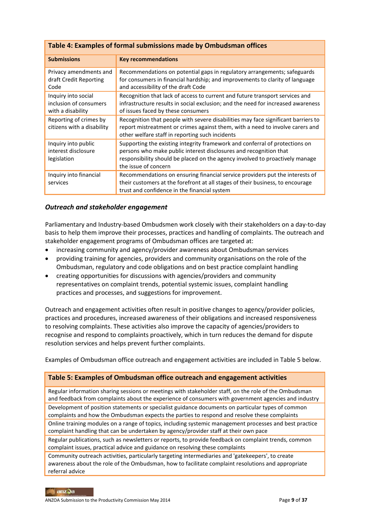| Table 4: Examples of formal submissions made by Ombudsman offices  |                                                                                                                                                                                                                                                          |  |
|--------------------------------------------------------------------|----------------------------------------------------------------------------------------------------------------------------------------------------------------------------------------------------------------------------------------------------------|--|
| <b>Submissions</b>                                                 | <b>Key recommendations</b>                                                                                                                                                                                                                               |  |
| Privacy amendments and<br>draft Credit Reporting<br>Code           | Recommendations on potential gaps in regulatory arrangements; safeguards<br>for consumers in financial hardship; and improvements to clarity of language<br>and accessibility of the draft Code                                                          |  |
| Inquiry into social<br>inclusion of consumers<br>with a disability | Recognition that lack of access to current and future transport services and<br>infrastructure results in social exclusion; and the need for increased awareness<br>of issues faced by these consumers                                                   |  |
| Reporting of crimes by<br>citizens with a disability               | Recognition that people with severe disabilities may face significant barriers to<br>report mistreatment or crimes against them, with a need to involve carers and<br>other welfare staff in reporting such incidents                                    |  |
| Inquiry into public<br>interest disclosure<br>legislation          | Supporting the existing integrity framework and conferral of protections on<br>persons who make public interest disclosures and recognition that<br>responsibility should be placed on the agency involved to proactively manage<br>the issue of concern |  |
| Inquiry into financial<br>services                                 | Recommendations on ensuring financial service providers put the interests of<br>their customers at the forefront at all stages of their business, to encourage<br>trust and confidence in the financial system                                           |  |

#### *Outreach and stakeholder engagement*

Parliamentary and Industry-based Ombudsmen work closely with their stakeholders on a day-to-day basis to help them improve their processes, practices and handling of complaints. The outreach and stakeholder engagement programs of Ombudsman offices are targeted at:

- increasing community and agency/provider awareness about Ombudsman services
- providing training for agencies, providers and community organisations on the role of the Ombudsman, regulatory and code obligations and on best practice complaint handling
- creating opportunities for discussions with agencies/providers and community representatives on complaint trends, potential systemic issues, complaint handling practices and processes, and suggestions for improvement.

Outreach and engagement activities often result in positive changes to agency/provider policies, practices and procedures, increased awareness of their obligations and increased responsiveness to resolving complaints. These activities also improve the capacity of agencies/providers to recognise and respond to complaints proactively, which in turn reduces the demand for dispute resolution services and helps prevent further complaints.

Examples of Ombudsman office outreach and engagement activities are included in Table 5 below.

#### **Table 5: Examples of Ombudsman office outreach and engagement activities**

Regular information sharing sessions or meetings with stakeholder staff, on the role of the Ombudsman and feedback from complaints about the experience of consumers with government agencies and industry Development of position statements or specialist guidance documents on particular types of common complaints and how the Ombudsman expects the parties to respond and resolve these complaints Online training modules on a range of topics, including systemic management processes and best practice complaint handling that can be undertaken by agency/provider staff at their own pace Regular publications, such as newsletters or reports, to provide feedback on complaint trends, common

complaint issues, practical advice and guidance on resolving these complaints

Community outreach activities, particularly targeting intermediaries and 'gatekeepers', to create awareness about the role of the Ombudsman, how to facilitate complaint resolutions and appropriate referral advice

#### anzQa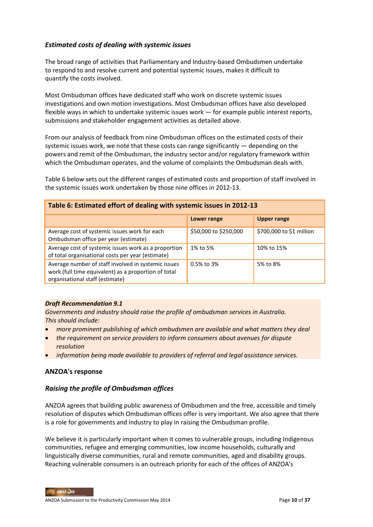### *Estimated costs of dealing with systemic issues*

The broad range of activities that Parliamentary and Industry-based Ombudsmen undertake to respond to and resolve current and potential systemic issues, makes it difficult to quantify the costs involved.

Most Ombudsman offices have dedicated staff who work on discrete systemic issues investigations and own motion investigations. Most Ombudsman offices have also developed flexible ways in which to undertake systemic issues work — for example public interest reports, submissions and stakeholder engagement activities as detailed above.

From our analysis of feedback from nine Ombudsman offices on the estimated costs of their systemic issues work, we note that these costs can range significantly — depending on the powers and remit of the Ombudsman, the industry sector and/or regulatory framework within which the Ombudsman operates, and the volume of complaints the Ombudsman deals with.

Table 6 below sets out the different ranges of estimated costs and proportion of staff involved in the systemic issues work undertaken by those nine offices in 2012-13.

| Table 6: Estimated effort of dealing with systemic issues in 2012-13                                                                           |                       |                          |  |
|------------------------------------------------------------------------------------------------------------------------------------------------|-----------------------|--------------------------|--|
|                                                                                                                                                | Lower range           | <b>Upper range</b>       |  |
| Average cost of systemic issues work for each<br>Ombudsman office per year (estimate)                                                          | \$50,000 to \$250,000 | \$700,000 to \$1 million |  |
| Average cost of systemic issues work as a proportion<br>of total organisational costs per year (estimate)                                      | 1% to 5%              | 10% to 15%               |  |
| Average number of staff involved in systemic issues<br>work (full time equivalent) as a proportion of total<br>organisational staff (estimate) | 0.5% to 3%            | 5% to 8%                 |  |

#### *Draft Recommendation 9.1*

*Governments and industry should raise the profile of ombudsman services in Australia. This should include:*

- *more prominent publishing of which ombudsmen are available and what matters they deal*
- *the requirement on service providers to inform consumers about avenues for dispute resolution*
- *information being made available to providers of referral and legal assistance services.*

#### **ANZOA's response**

#### *Raising the profile of Ombudsman offices*

ANZOA agrees that building public awareness of Ombudsmen and the free, accessible and timely resolution of disputes which Ombudsman offices offer is very important. We also agree that there is a role for governments and industry to play in raising the Ombudsman profile.

We believe it is particularly important when it comes to vulnerable groups, including Indigenous communities, refugee and emerging communities, low income households, culturally and linguistically diverse communities, rural and remote communities, aged and disability groups. Reaching vulnerable consumers is an outreach priority for each of the offices of ANZOA's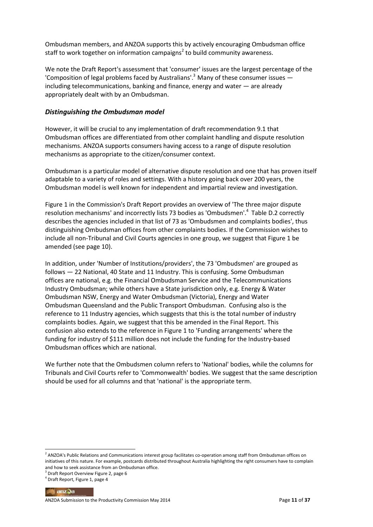Ombudsman members, and ANZOA supports this by actively encouraging Ombudsman office staff to work together on information campaigns<sup>2</sup> to build community awareness.

We note the Draft Report's assessment that 'consumer' issues are the largest percentage of the 'Composition of legal problems faced by Australians'.<sup>3</sup> Many of these consumer issues  $$ including telecommunications, banking and finance, energy and water — are already appropriately dealt with by an Ombudsman.

#### *Distinguishing the Ombudsman model*

However, it will be crucial to any implementation of draft recommendation 9.1 that Ombudsman offices are differentiated from other complaint handling and dispute resolution mechanisms. ANZOA supports consumers having access to a range of dispute resolution mechanisms as appropriate to the citizen/consumer context.

Ombudsman is a particular model of alternative dispute resolution and one that has proven itself adaptable to a variety of roles and settings. With a history going back over 200 years, the Ombudsman model is well known for independent and impartial review and investigation.

Figure 1 in the Commission's Draft Report provides an overview of 'The three major dispute resolution mechanisms' and incorrectly lists 73 bodies as 'Ombudsmen'.<sup>4</sup> Table D.2 correctly describes the agencies included in that list of 73 as 'Ombudsmen and complaints bodies', thus distinguishing Ombudsman offices from other complaints bodies. If the Commission wishes to include all non-Tribunal and Civil Courts agencies in one group, we suggest that Figure 1 be amended (see page 10).

In addition, under 'Number of Institutions/providers', the 73 'Ombudsmen' are grouped as follows — 22 National, 40 State and 11 Industry. This is confusing. Some Ombudsman offices are national, e.g. the Financial Ombudsman Service and the Telecommunications Industry Ombudsman; while others have a State jurisdiction only, e.g. Energy & Water Ombudsman NSW, Energy and Water Ombudsman (Victoria), Energy and Water Ombudsman Queensland and the Public Transport Ombudsman. Confusing also is the reference to 11 Industry agencies, which suggests that this is the total number of industry complaints bodies. Again, we suggest that this be amended in the Final Report. This confusion also extends to the reference in Figure 1 to 'Funding arrangements' where the funding for industry of \$111 million does not include the funding for the Industry-based Ombudsman offices which are national.

We further note that the Ombudsmen column refers to 'National' bodies, while the columns for Tribunals and Civil Courts refer to 'Commonwealth' bodies. We suggest that the same description should be used for all columns and that 'national' is the appropriate term.

 $\blacksquare$ anz $\lozenge$ a

 2 ANZOA's Public Relations and Communications interest group facilitates co-operation among staff from Ombudsman offices on initiatives of this nature. For example, postcards distributed throughout Australia highlighting the right consumers have to complain and how to seek assistance from an Ombudsman office.

<sup>3</sup> Draft Report Overview Figure 2, page 6

<sup>4</sup> Draft Report, Figure 1, page 4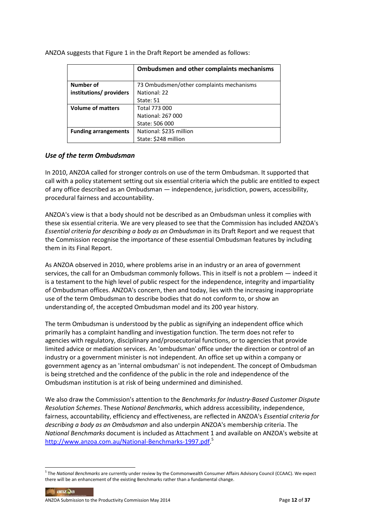|                             | <b>Ombudsmen and other complaints mechanisms</b> |
|-----------------------------|--------------------------------------------------|
| <b>Number of</b>            | 73 Ombudsmen/other complaints mechanisms         |
| institutions/ providers     | National: 22                                     |
|                             | State: 51                                        |
| <b>Volume of matters</b>    | Total 773 000                                    |
|                             | National: 267 000                                |
|                             | State: 506 000                                   |
| <b>Funding arrangements</b> | National: \$235 million                          |
|                             | State: \$248 million                             |

ANZOA suggests that Figure 1 in the Draft Report be amended as follows:

#### *Use of the term Ombudsman*

In 2010, ANZOA called for stronger controls on use of the term Ombudsman. It supported that call with a policy statement setting out six essential criteria which the public are entitled to expect of any office described as an Ombudsman — independence, jurisdiction, powers, accessibility, procedural fairness and accountability.

ANZOA's view is that a body should not be described as an Ombudsman unless it complies with these six essential criteria. We are very pleased to see that the Commission has included ANZOA's *Essential criteria for describing a body as an Ombudsman* in its Draft Report and we request that the Commission recognise the importance of these essential Ombudsman features by including them in its Final Report.

As ANZOA observed in 2010, where problems arise in an industry or an area of government services, the call for an Ombudsman commonly follows. This in itself is not a problem — indeed it is a testament to the high level of public respect for the independence, integrity and impartiality of Ombudsman offices. ANZOA's concern, then and today, lies with the increasing inappropriate use of the term Ombudsman to describe bodies that do not conform to, or show an understanding of, the accepted Ombudsman model and its 200 year history.

The term Ombudsman is understood by the public as signifying an independent office which primarily has a complaint handling and investigation function. The term does not refer to agencies with regulatory, disciplinary and/prosecutorial functions, or to agencies that provide limited advice or mediation services. An 'ombudsman' office under the direction or control of an industry or a government minister is not independent. An office set up within a company or government agency as an 'internal ombudsman' is not independent. The concept of Ombudsman is being stretched and the confidence of the public in the role and independence of the Ombudsman institution is at risk of being undermined and diminished.

We also draw the Commission's attention to the *Benchmarks for Industry-Based Customer Dispute Resolution Schemes*. These *National Benchmarks*, which address accessibility, independence, fairness, accountability, efficiency and effectiveness, are reflected in ANZOA's *Essential criteria for describing a body as an Ombudsman* and also underpin ANZOA's membership criteria. The *National Benchmarks* document is included as Attachment 1 and available on ANZOA's website at [http://www.anzoa.com.au/National-Benchmarks-1997.pdf.](http://www.anzoa.com.au/National-Benchmarks-1997.pdf)<sup>5</sup>

anzQa

<sup>5</sup> The *National Benchmarks* are currently under review by the Commonwealth Consumer Affairs Advisory Council (CCAAC). We expect there will be an enhancement of the existing Benchmarks rather than a fundamental change.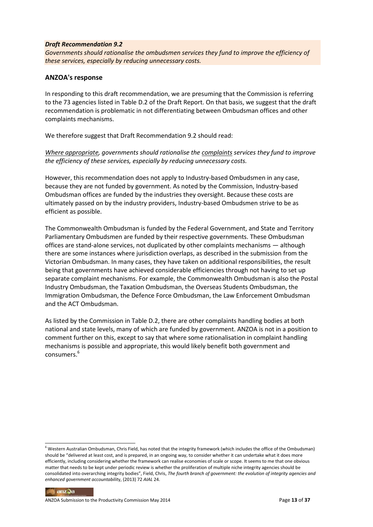#### *Draft Recommendation 9.2*

*Governments should rationalise the ombudsmen services they fund to improve the efficiency of these services, especially by reducing unnecessary costs.*

#### **ANZOA's response**

In responding to this draft recommendation, we are presuming that the Commission is referring to the 73 agencies listed in Table D.2 of the Draft Report. On that basis, we suggest that the draft recommendation is problematic in not differentiating between Ombudsman offices and other complaints mechanisms.

We therefore suggest that Draft Recommendation 9.2 should read:

*Where appropriate, governments should rationalise the complaints services they fund to improve the efficiency of these services, especially by reducing unnecessary costs.*

However, this recommendation does not apply to Industry-based Ombudsmen in any case, because they are not funded by government. As noted by the Commission, Industry-based Ombudsman offices are funded by the industries they oversight. Because these costs are ultimately passed on by the industry providers, Industry-based Ombudsmen strive to be as efficient as possible.

The Commonwealth Ombudsman is funded by the Federal Government, and State and Territory Parliamentary Ombudsmen are funded by their respective governments. These Ombudsman offices are stand-alone services, not duplicated by other complaints mechanisms — although there are some instances where jurisdiction overlaps, as described in the submission from the Victorian Ombudsman. In many cases, they have taken on additional responsibilities, the result being that governments have achieved considerable efficiencies through not having to set up separate complaint mechanisms. For example, the Commonwealth Ombudsman is also the Postal Industry Ombudsman, the Taxation Ombudsman, the Overseas Students Ombudsman, the Immigration Ombudsman, the Defence Force Ombudsman, the Law Enforcement Ombudsman and the ACT Ombudsman.

As listed by the Commission in Table D.2, there are other complaints handling bodies at both national and state levels, many of which are funded by government. ANZOA is not in a position to comment further on this, except to say that where some rationalisation in complaint handling mechanisms is possible and appropriate, this would likely benefit both government and consumers.<sup>6</sup>

#### anzQa

 $6$  Western Australian Ombudsman, Chris Field, has noted that the integrity framework (which includes the office of the Ombudsman) should be "delivered at least cost, and is prepared, in an ongoing way, to consider whether it can undertake what it does more efficiently, including considering whether the framework can realise economies of scale or scope. It seems to me that one obvious matter that needs to be kept under periodic review is whether the proliferation of multiple niche integrity agencies should be consolidated into overarching integrity bodies", Field, Chris, *The fourth branch of government: the evolution of integrity agencies and enhanced government accountabilit*y, (2013) 72 *AIAL* 24.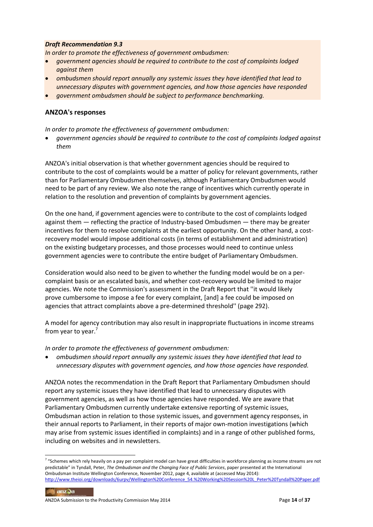#### *Draft Recommendation 9.3*

*In order to promote the effectiveness of government ombudsmen:* 

- *government agencies should be required to contribute to the cost of complaints lodged against them*
- *ombudsmen should report annually any systemic issues they have identified that lead to unnecessary disputes with government agencies, and how those agencies have responded*
- *government ombudsmen should be subject to performance benchmarking.*

#### **ANZOA's responses**

*In order to promote the effectiveness of government ombudsmen:* 

 *government agencies should be required to contribute to the cost of complaints lodged against them*

ANZOA's initial observation is that whether government agencies should be required to contribute to the cost of complaints would be a matter of policy for relevant governments, rather than for Parliamentary Ombudsmen themselves, although Parliamentary Ombudsmen would need to be part of any review. We also note the range of incentives which currently operate in relation to the resolution and prevention of complaints by government agencies.

On the one hand, if government agencies were to contribute to the cost of complaints lodged against them — reflecting the practice of Industry-based Ombudsmen — there may be greater incentives for them to resolve complaints at the earliest opportunity. On the other hand, a costrecovery model would impose additional costs (in terms of establishment and administration) on the existing budgetary processes, and those processes would need to continue unless government agencies were to contribute the entire budget of Parliamentary Ombudsmen.

Consideration would also need to be given to whether the funding model would be on a percomplaint basis or an escalated basis, and whether cost-recovery would be limited to major agencies. We note the Commission's assessment in the Draft Report that ''it would likely prove cumbersome to impose a fee for every complaint, [and] a fee could be imposed on agencies that attract complaints above a pre-determined threshold'' (page 292).

A model for agency contribution may also result in inappropriate fluctuations in income streams from year to year.<sup>7</sup>

*In order to promote the effectiveness of government ombudsmen:* 

 *ombudsmen should report annually any systemic issues they have identified that lead to unnecessary disputes with government agencies, and how those agencies have responded.*

ANZOA notes the recommendation in the Draft Report that Parliamentary Ombudsmen should report any systemic issues they have identified that lead to unnecessary disputes with government agencies, as well as how those agencies have responded. We are aware that Parliamentary Ombudsmen currently undertake extensive reporting of systemic issues, Ombudsman action in relation to those systemic issues, and government agency responses, in their annual reports to Parliament, in their reports of major own-motion investigations (which may arise from systemic issues identified in complaints) and in a range of other published forms, including on websites and in newsletters.

[http://www.theioi.org/downloads/6urpv/Wellington%20Conference\\_54.%20Working%20Session%20L\\_Peter%20Tyndall%20Paper.pdf](http://www.theioi.org/downloads/6urpv/Wellington%20Conference_54.%20Working%20Session%20L_Peter%20Tyndall%20Paper.pdf) anzQa

<sup>&</sup>lt;sup>7</sup> "Schemes which rely heavily on a pay per complaint model can have great difficulties in workforce planning as income streams are not predictable" in Tyndall, Peter, *The Ombudsman and the Changing Face of Public Services*, paper presented at the International Ombudsman Institute Wellington Conference, November 2012, page 4, available at (accessed May 2014):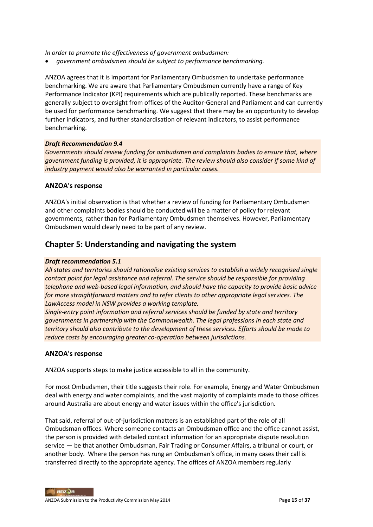*In order to promote the effectiveness of government ombudsmen:* 

*government ombudsmen should be subject to performance benchmarking.*

ANZOA agrees that it is important for Parliamentary Ombudsmen to undertake performance benchmarking. We are aware that Parliamentary Ombudsmen currently have a range of Key Performance Indicator (KPI) requirements which are publically reported. These benchmarks are generally subject to oversight from offices of the Auditor-General and Parliament and can currently be used for performance benchmarking. We suggest that there may be an opportunity to develop further indicators, and further standardisation of relevant indicators, to assist performance benchmarking.

#### *Draft Recommendation 9.4*

*Governments should review funding for ombudsmen and complaints bodies to ensure that, where government funding is provided, it is appropriate. The review should also consider if some kind of industry payment would also be warranted in particular cases.*

#### **ANZOA's response**

ANZOA's initial observation is that whether a review of funding for Parliamentary Ombudsmen and other complaints bodies should be conducted will be a matter of policy for relevant governments, rather than for Parliamentary Ombudsmen themselves. However, Parliamentary Ombudsmen would clearly need to be part of any review.

## **Chapter 5: Understanding and navigating the system**

#### *Draft recommendation 5.1*

*All states and territories should rationalise existing services to establish a widely recognised single contact point for legal assistance and referral. The service should be responsible for providing telephone and web-based legal information, and should have the capacity to provide basic advice for more straightforward matters and to refer clients to other appropriate legal services. The LawAccess model in NSW provides a working template.* 

*Single-entry point information and referral services should be funded by state and territory governments in partnership with the Commonwealth. The legal professions in each state and territory should also contribute to the development of these services. Efforts should be made to reduce costs by encouraging greater co-operation between jurisdictions.*

#### **ANZOA's response**

ANZOA supports steps to make justice accessible to all in the community.

For most Ombudsmen, their title suggests their role. For example, Energy and Water Ombudsmen deal with energy and water complaints, and the vast majority of complaints made to those offices around Australia are about energy and water issues within the office's jurisdiction.

That said, referral of out-of-jurisdiction matters is an established part of the role of all Ombudsman offices. Where someone contacts an Ombudsman office and the office cannot assist, the person is provided with detailed contact information for an appropriate dispute resolution service — be that another Ombudsman, Fair Trading or Consumer Affairs, a tribunal or court, or another body. Where the person has rung an Ombudsman's office, in many cases their call is transferred directly to the appropriate agency. The offices of ANZOA members regularly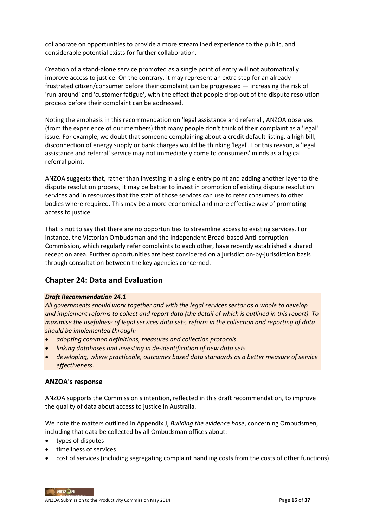collaborate on opportunities to provide a more streamlined experience to the public, and considerable potential exists for further collaboration.

Creation of a stand-alone service promoted as a single point of entry will not automatically improve access to justice. On the contrary, it may represent an extra step for an already frustrated citizen/consumer before their complaint can be progressed — increasing the risk of 'run-around' and 'customer fatigue', with the effect that people drop out of the dispute resolution process before their complaint can be addressed.

Noting the emphasis in this recommendation on 'legal assistance and referral', ANZOA observes (from the experience of our members) that many people don't think of their complaint as a 'legal' issue. For example, we doubt that someone complaining about a credit default listing, a high bill, disconnection of energy supply or bank charges would be thinking 'legal'. For this reason, a 'legal assistance and referral' service may not immediately come to consumers' minds as a logical referral point.

ANZOA suggests that, rather than investing in a single entry point and adding another layer to the dispute resolution process, it may be better to invest in promotion of existing dispute resolution services and in resources that the staff of those services can use to refer consumers to other bodies where required. This may be a more economical and more effective way of promoting access to justice.

That is not to say that there are no opportunities to streamline access to existing services. For instance, the Victorian Ombudsman and the Independent Broad-based Anti-corruption Commission, which regularly refer complaints to each other, have recently established a shared reception area. Further opportunities are best considered on a jurisdiction-by-jurisdiction basis through consultation between the key agencies concerned.

## **Chapter 24: Data and Evaluation**

#### *Draft Recommendation 24.1*

*All governments should work together and with the legal services sector as a whole to develop and implement reforms to collect and report data (the detail of which is outlined in this report). To maximise the usefulness of legal services data sets, reform in the collection and reporting of data should be implemented through:* 

- *adopting common definitions, measures and collection protocols*
- *linking databases and investing in de-identification of new data sets*
- *developing, where practicable, outcomes based data standards as a better measure of service effectiveness.*

#### **ANZOA's response**

ANZOA supports the Commission's intention, reflected in this draft recommendation, to improve the quality of data about access to justice in Australia.

We note the matters outlined in Appendix J, *Building the evidence ba*s*e*, concerning Ombudsmen, including that data be collected by all Ombudsman offices about:

- types of disputes
- **•** timeliness of services
- cost of services (including segregating complaint handling costs from the costs of other functions).

anzQa ANZOA Submission to the Productivity Commission May 2014 **Page 16** of **37 Page 16** of **37**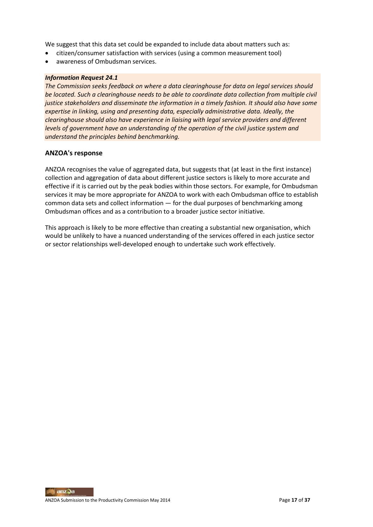We suggest that this data set could be expanded to include data about matters such as:

- citizen/consumer satisfaction with services (using a common measurement tool)
- awareness of Ombudsman services.

#### *Information Request 24.1*

*The Commission seeks feedback on where a data clearinghouse for data on legal services should be located. Such a clearinghouse needs to be able to coordinate data collection from multiple civil justice stakeholders and disseminate the information in a timely fashion. It should also have some expertise in linking, using and presenting data, especially administrative data. Ideally, the clearinghouse should also have experience in liaising with legal service providers and different levels of government have an understanding of the operation of the civil justice system and understand the principles behind benchmarking.*

#### **ANZOA's response**

ANZOA recognises the value of aggregated data, but suggests that (at least in the first instance) collection and aggregation of data about different justice sectors is likely to more accurate and effective if it is carried out by the peak bodies within those sectors. For example, for Ombudsman services it may be more appropriate for ANZOA to work with each Ombudsman office to establish common data sets and collect information — for the dual purposes of benchmarking among Ombudsman offices and as a contribution to a broader justice sector initiative.

This approach is likely to be more effective than creating a substantial new organisation, which would be unlikely to have a nuanced understanding of the services offered in each justice sector or sector relationships well-developed enough to undertake such work effectively.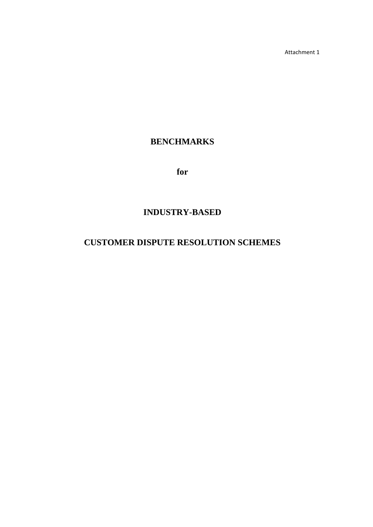Attachment 1

## **BENCHMARKS**

**for**

## **INDUSTRY-BASED**

## **CUSTOMER DISPUTE RESOLUTION SCHEMES**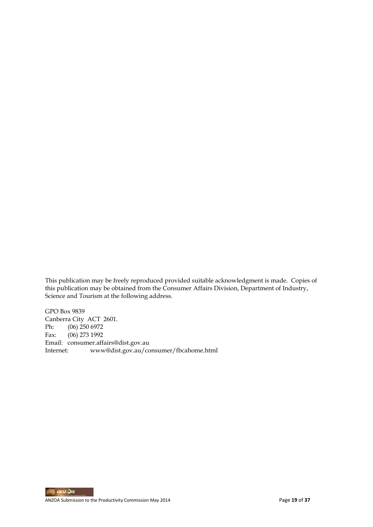This publication may be freely reproduced provided suitable acknowledgment is made. Copies of this publication may be obtained from the Consumer Affairs Division, Department of Industry, Science and Tourism at the following address.

GPO Box 9839 Canberra City ACT 2601.<br>Ph: (06) 250 6972 Ph: (06) 250 6972<br>Fax: (06) 273 1992 (06) 273 1992 Email: consumer.affairs@dist.gov.au Internet: www@dist.gov.au/consumer/fbcahome.html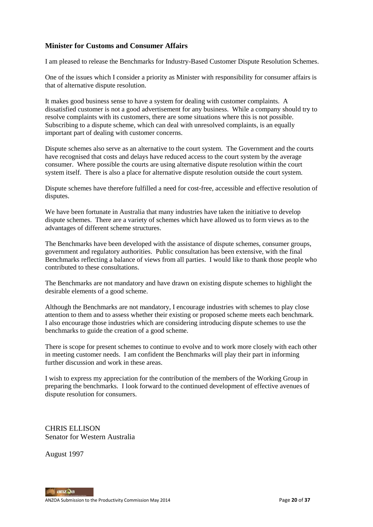### **Minister for Customs and Consumer Affairs**

I am pleased to release the Benchmarks for Industry-Based Customer Dispute Resolution Schemes.

One of the issues which I consider a priority as Minister with responsibility for consumer affairs is that of alternative dispute resolution.

It makes good business sense to have a system for dealing with customer complaints. A dissatisfied customer is not a good advertisement for any business. While a company should try to resolve complaints with its customers, there are some situations where this is not possible. Subscribing to a dispute scheme, which can deal with unresolved complaints, is an equally important part of dealing with customer concerns.

Dispute schemes also serve as an alternative to the court system. The Government and the courts have recognised that costs and delays have reduced access to the court system by the average consumer. Where possible the courts are using alternative dispute resolution within the court system itself. There is also a place for alternative dispute resolution outside the court system.

Dispute schemes have therefore fulfilled a need for cost-free, accessible and effective resolution of disputes.

We have been fortunate in Australia that many industries have taken the initiative to develop dispute schemes. There are a variety of schemes which have allowed us to form views as to the advantages of different scheme structures.

The Benchmarks have been developed with the assistance of dispute schemes, consumer groups, government and regulatory authorities. Public consultation has been extensive, with the final Benchmarks reflecting a balance of views from all parties. I would like to thank those people who contributed to these consultations.

The Benchmarks are not mandatory and have drawn on existing dispute schemes to highlight the desirable elements of a good scheme.

Although the Benchmarks are not mandatory, I encourage industries with schemes to play close attention to them and to assess whether their existing or proposed scheme meets each benchmark. I also encourage those industries which are considering introducing dispute schemes to use the benchmarks to guide the creation of a good scheme.

There is scope for present schemes to continue to evolve and to work more closely with each other in meeting customer needs. I am confident the Benchmarks will play their part in informing further discussion and work in these areas.

I wish to express my appreciation for the contribution of the members of the Working Group in preparing the benchmarks. I look forward to the continued development of effective avenues of dispute resolution for consumers.

CHRIS ELLISON Senator for Western Australia

August 1997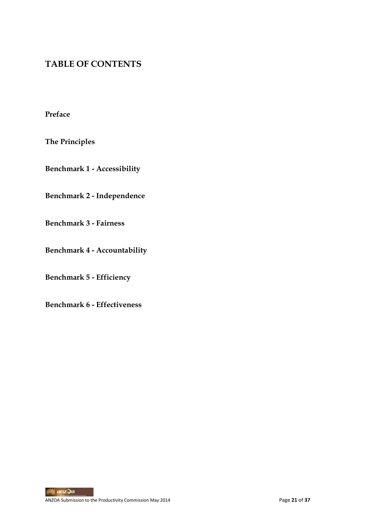## **TABLE OF CONTENTS**

**Preface**

**The Principles**

**Benchmark 1 - Accessibility**

**Benchmark 2 - Independence**

**Benchmark 3 - Fairness**

**Benchmark 4 - Accountability**

**Benchmark 5 - Efficiency**

**Benchmark 6 - Effectiveness**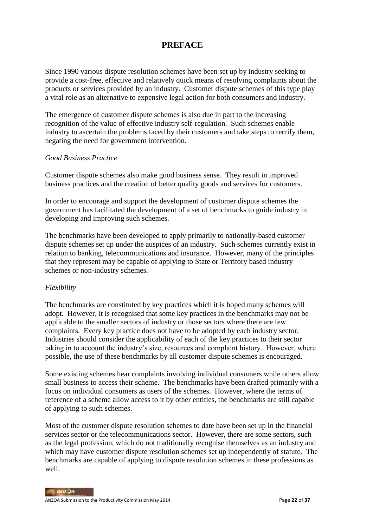## **PREFACE**

Since 1990 various dispute resolution schemes have been set up by industry seeking to provide a cost-free, effective and relatively quick means of resolving complaints about the products or services provided by an industry. Customer dispute schemes of this type play a vital role as an alternative to expensive legal action for both consumers and industry.

The emergence of customer dispute schemes is also due in part to the increasing recognition of the value of effective industry self-regulation. Such schemes enable industry to ascertain the problems faced by their customers and take steps to rectify them, negating the need for government intervention.

#### *Good Business Practice*

Customer dispute schemes also make good business sense. They result in improved business practices and the creation of better quality goods and services for customers.

In order to encourage and support the development of customer dispute schemes the government has facilitated the development of a set of benchmarks to guide industry in developing and improving such schemes.

The benchmarks have been developed to apply primarily to nationally-based customer dispute schemes set up under the auspices of an industry. Such schemes currently exist in relation to banking, telecommunications and insurance. However, many of the principles that they represent may be capable of applying to State or Territory based industry schemes or non-industry schemes.

#### *Flexibility*

The benchmarks are constituted by key practices which it is hoped many schemes will adopt. However, it is recognised that some key practices in the benchmarks may not be applicable to the smaller sectors of industry or those sectors where there are few complaints. Every key practice does not have to be adopted by each industry sector. Industries should consider the applicability of each of the key practices to their sector taking in to account the industry's size, resources and complaint history. However, where possible, the use of these benchmarks by all customer dispute schemes is encouraged.

Some existing schemes hear complaints involving individual consumers while others allow small business to access their scheme. The benchmarks have been drafted primarily with a focus on individual consumers as users of the schemes. However, where the terms of reference of a scheme allow access to it by other entities, the benchmarks are still capable of applying to such schemes.

Most of the customer dispute resolution schemes to date have been set up in the financial services sector or the telecommunications sector. However, there are some sectors, such as the legal profession, which do not traditionally recognise themselves as an industry and which may have customer dispute resolution schemes set up independently of statute. The benchmarks are capable of applying to dispute resolution schemes in these professions as well.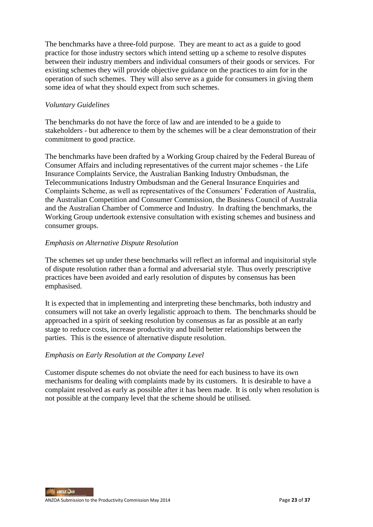The benchmarks have a three-fold purpose. They are meant to act as a guide to good practice for those industry sectors which intend setting up a scheme to resolve disputes between their industry members and individual consumers of their goods or services. For existing schemes they will provide objective guidance on the practices to aim for in the operation of such schemes. They will also serve as a guide for consumers in giving them some idea of what they should expect from such schemes.

#### *Voluntary Guidelines*

The benchmarks do not have the force of law and are intended to be a guide to stakeholders - but adherence to them by the schemes will be a clear demonstration of their commitment to good practice.

The benchmarks have been drafted by a Working Group chaired by the Federal Bureau of Consumer Affairs and including representatives of the current major schemes - the Life Insurance Complaints Service, the Australian Banking Industry Ombudsman, the Telecommunications Industry Ombudsman and the General Insurance Enquiries and Complaints Scheme, as well as representatives of the Consumers' Federation of Australia, the Australian Competition and Consumer Commission, the Business Council of Australia and the Australian Chamber of Commerce and Industry. In drafting the benchmarks, the Working Group undertook extensive consultation with existing schemes and business and consumer groups.

## *Emphasis on Alternative Dispute Resolution*

The schemes set up under these benchmarks will reflect an informal and inquisitorial style of dispute resolution rather than a formal and adversarial style. Thus overly prescriptive practices have been avoided and early resolution of disputes by consensus has been emphasised.

It is expected that in implementing and interpreting these benchmarks, both industry and consumers will not take an overly legalistic approach to them. The benchmarks should be approached in a spirit of seeking resolution by consensus as far as possible at an early stage to reduce costs, increase productivity and build better relationships between the parties. This is the essence of alternative dispute resolution.

#### *Emphasis on Early Resolution at the Company Level*

Customer dispute schemes do not obviate the need for each business to have its own mechanisms for dealing with complaints made by its customers. It is desirable to have a complaint resolved as early as possible after it has been made. It is only when resolution is not possible at the company level that the scheme should be utilised.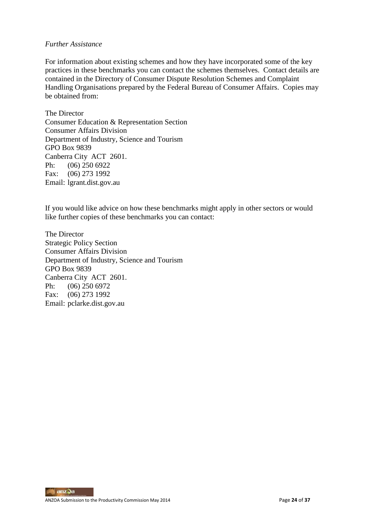#### *Further Assistance*

For information about existing schemes and how they have incorporated some of the key practices in these benchmarks you can contact the schemes themselves. Contact details are contained in the Directory of Consumer Dispute Resolution Schemes and Complaint Handling Organisations prepared by the Federal Bureau of Consumer Affairs. Copies may be obtained from:

The Director Consumer Education & Representation Section Consumer Affairs Division Department of Industry, Science and Tourism GPO Box 9839 Canberra City ACT 2601. Ph: (06) 250 6922 Fax: (06) 273 1992 Email: lgrant.dist.gov.au

If you would like advice on how these benchmarks might apply in other sectors or would like further copies of these benchmarks you can contact:

The Director Strategic Policy Section Consumer Affairs Division Department of Industry, Science and Tourism GPO Box 9839 Canberra City ACT 2601. Ph: (06) 250 6972 Fax: (06) 273 1992 Email: pclarke.dist.gov.au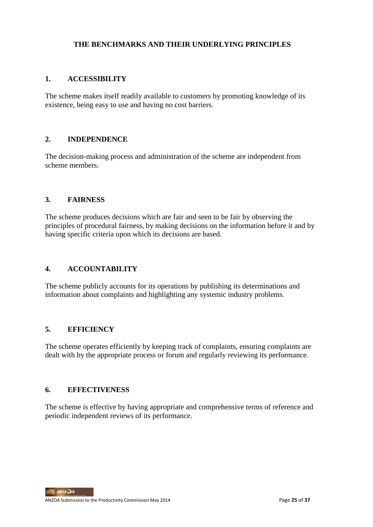### **THE BENCHMARKS AND THEIR UNDERLYING PRINCIPLES**

### **1. ACCESSIBILITY**

The scheme makes itself readily available to customers by promoting knowledge of its existence, being easy to use and having no cost barriers.

### **2. INDEPENDENCE**

The decision-making process and administration of the scheme are independent from scheme members.

### **3. FAIRNESS**

The scheme produces decisions which are fair and seen to be fair by observing the principles of procedural fairness, by making decisions on the information before it and by having specific criteria upon which its decisions are based.

#### **4. ACCOUNTABILITY**

The scheme publicly accounts for its operations by publishing its determinations and information about complaints and highlighting any systemic industry problems.

## **5. EFFICIENCY**

The scheme operates efficiently by keeping track of complaints, ensuring complaints are dealt with by the appropriate process or forum and regularly reviewing its performance.

#### **6. EFFECTIVENESS**

The scheme is effective by having appropriate and comprehensive terms of reference and periodic independent reviews of its performance.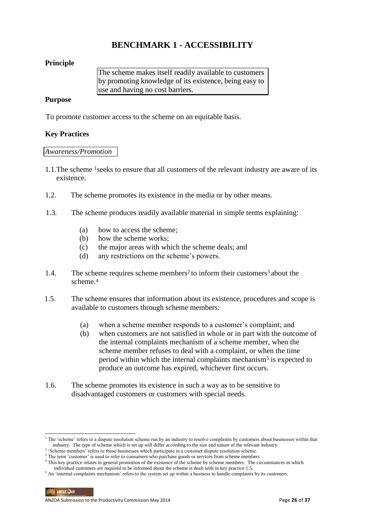## **BENCHMARK 1 - ACCESSIBILITY**

## **Principle**

The scheme makes itself readily available to customers by promoting knowledge of its existence, being easy to use and having no cost barriers.

### **Purpose**

To promote customer access to the scheme on an equitable basis.

### **Key Practices**

#### *Awareness/Promotion*

- 1.1.The scheme 1seeks to ensure that all customers of the relevant industry are aware of its existence.
- 1.2. The scheme promotes its existence in the media or by other means.
- 1.3. The scheme produces readily available material in simple terms explaining:
	- (a) how to access the scheme;
	- (b) how the scheme works;
	- (c) the major areas with which the scheme deals; and
	- (d) any restrictions on the scheme's powers.
- 1.4. The scheme requires scheme members<sup>2</sup> to inform their customers<sup>3</sup> about the scheme.<sup>4</sup>
- 1.5. The scheme ensures that information about its existence, procedures and scope is available to customers through scheme members:
	- (a) when a scheme member responds to a customer's complaint; and
	- (b) when customers are not satisfied in whole or in part with the outcome of the internal complaints mechanism of a scheme member, when the scheme member refuses to deal with a complaint, or when the time period within which the internal complaints mechanism<sup>5</sup> is expected to produce an outcome has expired, whichever first occurs.
- 1.6. The scheme promotes its existence in such a way as to be sensitive to disadvantaged customers or customers with special needs.

<sup>&</sup>lt;sup>1</sup> The 'scheme' refers to a dispute resolution scheme run by an industry to resolve complaints by customers about businesses within that industry. The type of scheme which is set up will differ according to the size and nature of the relevant industry.

<sup>&</sup>lt;sup>2</sup> 'Scheme members' refers to those businesses which participate in a customer dispute resolution scheme.

<sup>&</sup>lt;sup>3</sup> The term 'customer' is used to refer to consumers who purchase goods or services from scheme members.

<sup>&</sup>lt;sup>4</sup> This key practice relates to general promotion of the existence of the scheme by scheme members. The circumstances in which individual customers are required to be informed about the scheme is dealt with in key practice 1.5.

<sup>5</sup> An 'internal complaints mechanism' refers to the system set up within a business to handle complaints by its customers.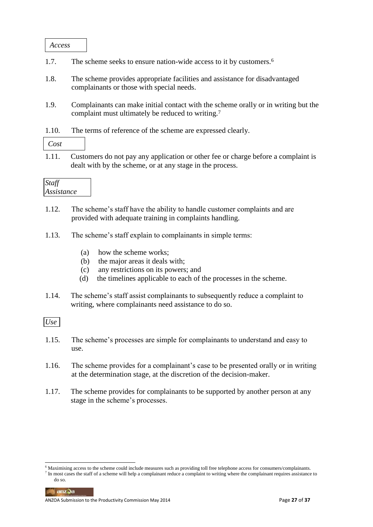*Access*

- 1.7. The scheme seeks to ensure nation-wide access to it by customers.<sup>6</sup>
- 1.8. The scheme provides appropriate facilities and assistance for disadvantaged complainants or those with special needs.
- 1.9. Complainants can make initial contact with the scheme orally or in writing but the complaint must ultimately be reduced to writing.<sup>7</sup>
- 1.10. The terms of reference of the scheme are expressed clearly.

*Cost*

1.11. Customers do not pay any application or other fee or charge before a complaint is dealt with by the scheme, or at any stage in the process.



- 1.12. The scheme's staff have the ability to handle customer complaints and are provided with adequate training in complaints handling.
- 1.13. The scheme's staff explain to complainants in simple terms:
	- (a) how the scheme works;
	- (b) the major areas it deals with;
	- (c) any restrictions on its powers; and
	- (d) the timelines applicable to each of the processes in the scheme.
- 1.14. The scheme's staff assist complainants to subsequently reduce a complaint to writing, where complainants need assistance to do so.

*Use*

- 1.15. The scheme's processes are simple for complainants to understand and easy to use.
- 1.16. The scheme provides for a complainant's case to be presented orally or in writing at the determination stage, at the discretion of the decision-maker.
- 1.17. The scheme provides for complainants to be supported by another person at any stage in the scheme's processes.

anzQa

<sup>-</sup><sup>6</sup> Maximising access to the scheme could include measures such as providing toll free telephone access for consumers/complainants.

 $<sup>7</sup>$  In most cases the staff of a scheme will help a complainant reduce a complaint to writing where the complainant requires assistance to</sup> do so.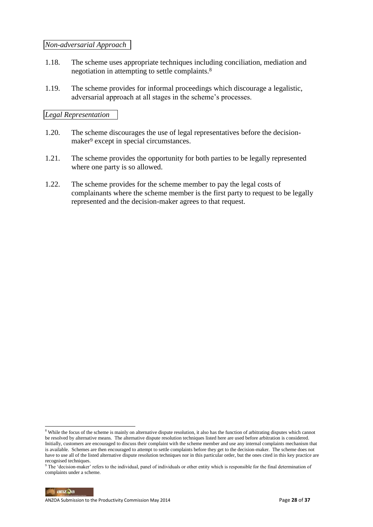#### *Non-adversarial Approach*

- 1.18. The scheme uses appropriate techniques including conciliation, mediation and negotiation in attempting to settle complaints.<sup>8</sup>
- 1.19. The scheme provides for informal proceedings which discourage a legalistic, adversarial approach at all stages in the scheme's processes.

### *Legal Representation*

- 1.20. The scheme discourages the use of legal representatives before the decisionmaker<sup>9</sup> except in special circumstances.
- 1.21. The scheme provides the opportunity for both parties to be legally represented where one party is so allowed.
- 1.22. The scheme provides for the scheme member to pay the legal costs of complainants where the scheme member is the first party to request to be legally represented and the decision-maker agrees to that request.

-

<sup>&</sup>lt;sup>8</sup> While the focus of the scheme is mainly on alternative dispute resolution, it also has the function of arbitrating disputes which cannot be resolved by alternative means. The alternative dispute resolution techniques listed here are used before arbitration is considered. Initially, customers are encouraged to discuss their complaint with the scheme member and use any internal complaints mechanism that is available. Schemes are then encouraged to attempt to settle complaints before they get to the decision-maker. The scheme does not have to use all of the listed alternative dispute resolution techniques nor in this particular order, but the ones cited in this key practice are recognised techniques.

 $9$  The 'decision-maker' refers to the individual, panel of individuals or other entity which is responsible for the final determination of complaints under a scheme.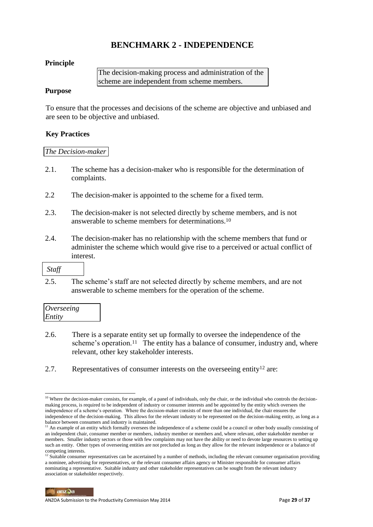## **BENCHMARK 2 - INDEPENDENCE**

## **Principle**

The decision-making process and administration of the scheme are independent from scheme members.

#### **Purpose**

To ensure that the processes and decisions of the scheme are objective and unbiased and are seen to be objective and unbiased.

## **Key Practices**

#### *The Decision-maker*

- 2.1. The scheme has a decision-maker who is responsible for the determination of complaints.
- 2.2 The decision-maker is appointed to the scheme for a fixed term.
- 2.3. The decision-maker is not selected directly by scheme members, and is not answerable to scheme members for determinations.<sup>10</sup>
- 2.4. The decision-maker has no relationship with the scheme members that fund or administer the scheme which would give rise to a perceived or actual conflict of interest.

-

2.5. The scheme's staff are not selected directly by scheme members, and are not answerable to scheme members for the operation of the scheme.

| Overseeing |  |
|------------|--|
| Entity     |  |

- 2.6. There is a separate entity set up formally to oversee the independence of the scheme's operation.<sup>11</sup> The entity has a balance of consumer, industry and, where relevant, other key stakeholder interests.
- 2.7. Representatives of consumer interests on the overseeing entity<sup>12</sup> are:

 $10$  Where the decision-maker consists, for example, of a panel of individuals, only the chair, or the individual who controls the decisionmaking process, is required to be independent of industry or consumer interests and be appointed by the entity which oversees the independence of a scheme's operation. Where the decision-maker consists of more than one individual, the chair ensures the independence of the decision-making. This allows for the relevant industry to be represented on the decision-making entity, as long as a balance between consumers and industry is maintained.

<sup>&</sup>lt;sup>11</sup> An example of an entity which formally oversees the independence of a scheme could be a council or other body usually consisting of an independent chair, consumer member or members, industry member or members and, where relevant, other stakeholder member or members. Smaller industry sectors or those with few complaints may not have the ability or need to devote large resources to setting up such an entity. Other types of overseeing entities are not precluded as long as they allow for the relevant independence or a balance of competing interests.

 $12$  Suitable consumer representatives can be ascertained by a number of methods, including the relevant consumer organisation providing a nominee, advertising for representatives, or the relevant consumer affairs agency or Minister responsible for consumer affairs nominating a representative. Suitable industry and other stakeholder representatives can be sought from the relevant industry association or stakeholder respectively.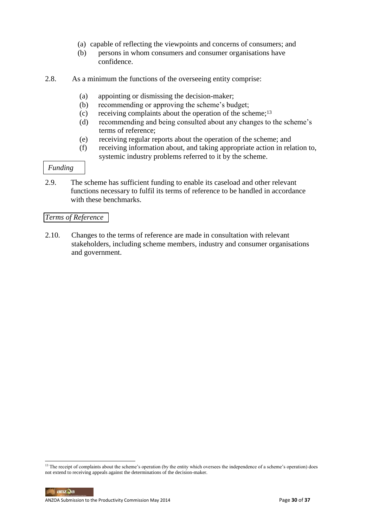- (a) capable of reflecting the viewpoints and concerns of consumers; and
- (b) persons in whom consumers and consumer organisations have confidence.
- 2.8. As a minimum the functions of the overseeing entity comprise:
	- (a) appointing or dismissing the decision-maker;
	- (b) recommending or approving the scheme's budget;
	- (c) receiving complaints about the operation of the scheme; $13$
	- (d) recommending and being consulted about any changes to the scheme's terms of reference;
	- (e) receiving regular reports about the operation of the scheme; and
	- (f) receiving information about, and taking appropriate action in relation to, systemic industry problems referred to it by the scheme.

## *Funding*

2.9. The scheme has sufficient funding to enable its caseload and other relevant functions necessary to fulfil its terms of reference to be handled in accordance with these benchmarks.

### *Terms of Reference*

2.10. Changes to the terms of reference are made in consultation with relevant stakeholders, including scheme members, industry and consumer organisations and government.

-

<sup>&</sup>lt;sup>13</sup> The receipt of complaints about the scheme's operation (by the entity which oversees the independence of a scheme's operation) does not extend to receiving appeals against the determinations of the decision-maker.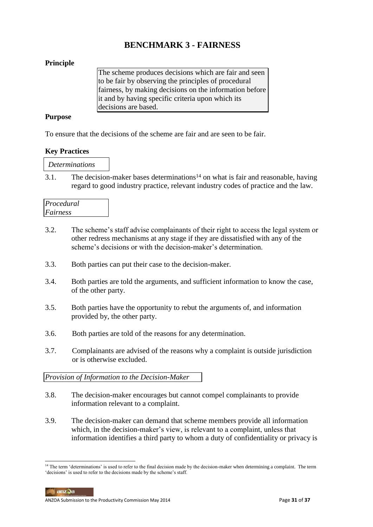## **BENCHMARK 3 - FAIRNESS**

## **Principle**

The scheme produces decisions which are fair and seen to be fair by observing the principles of procedural fairness, by making decisions on the information before it and by having specific criteria upon which its decisions are based.

## **Purpose**

To ensure that the decisions of the scheme are fair and are seen to be fair.

## **Key Practices**

*Determinations*

3.1. The decision-maker bases determinations<sup>14</sup> on what is fair and reasonable, having regard to good industry practice, relevant industry codes of practice and the law.

| Procedural |  |
|------------|--|
| Fairness   |  |

- 3.2. The scheme's staff advise complainants of their right to access the legal system or other redress mechanisms at any stage if they are dissatisfied with any of the scheme's decisions or with the decision-maker's determination.
- 3.3. Both parties can put their case to the decision-maker.
- 3.4. Both parties are told the arguments, and sufficient information to know the case, of the other party.
- 3.5. Both parties have the opportunity to rebut the arguments of, and information provided by, the other party.
- 3.6. Both parties are told of the reasons for any determination.
- 3.7. Complainants are advised of the reasons why a complaint is outside jurisdiction or is otherwise excluded.

## *Provision of Information to the Decision-Maker*

- 3.8. The decision-maker encourages but cannot compel complainants to provide information relevant to a complaint.
- 3.9. The decision-maker can demand that scheme members provide all information which, in the decision-maker's view, is relevant to a complaint, unless that information identifies a third party to whom a duty of confidentiality or privacy is

anzQa

<sup>-</sup> $<sup>14</sup>$  The term 'determinations' is used to refer to the final decision made by the decision-maker when determining a complaint. The term</sup> 'decisions' is used to refer to the decisions made by the scheme's staff.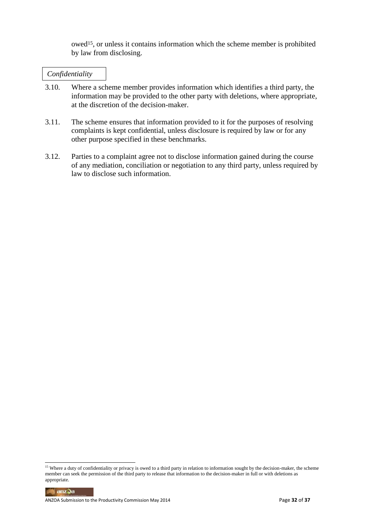owed15, or unless it contains information which the scheme member is prohibited by law from disclosing.

#### *Confidentiality*

- 3.10. Where a scheme member provides information which identifies a third party, the information may be provided to the other party with deletions, where appropriate, at the discretion of the decision-maker.
- 3.11. The scheme ensures that information provided to it for the purposes of resolving complaints is kept confidential, unless disclosure is required by law or for any other purpose specified in these benchmarks.
- 3.12. Parties to a complaint agree not to disclose information gained during the course of any mediation, conciliation or negotiation to any third party, unless required by law to disclose such information.

-

<sup>&</sup>lt;sup>15</sup> Where a duty of confidentiality or privacy is owed to a third party in relation to information sought by the decision-maker, the scheme member can seek the permission of the third party to release that information to the decision-maker in full or with deletions as appropriate.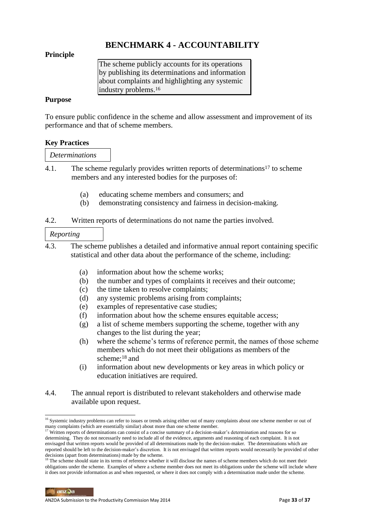## **BENCHMARK 4 - ACCOUNTABILITY**

### **Principle**

The scheme publicly accounts for its operations by publishing its determinations and information about complaints and highlighting any systemic industry problems.<sup>16</sup>

### **Purpose**

To ensure public confidence in the scheme and allow assessment and improvement of its performance and that of scheme members.

#### **Key Practices**

#### *Determinations*

- 4.1. The scheme regularly provides written reports of determinations<sup>17</sup> to scheme members and any interested bodies for the purposes of:
	- (a) educating scheme members and consumers; and
	- (b) demonstrating consistency and fairness in decision-making.
- 4.2. Written reports of determinations do not name the parties involved.

### *Reporting*

- 4.3. The scheme publishes a detailed and informative annual report containing specific statistical and other data about the performance of the scheme, including:
	- (a) information about how the scheme works;
	- (b) the number and types of complaints it receives and their outcome;
	- (c) the time taken to resolve complaints;
	- (d) any systemic problems arising from complaints;
	- (e) examples of representative case studies;
	- (f) information about how the scheme ensures equitable access;
	- (g) a list of scheme members supporting the scheme, together with any changes to the list during the year;
	- (h) where the scheme's terms of reference permit, the names of those scheme members which do not meet their obligations as members of the scheme;<sup>18</sup> and
	- (i) information about new developments or key areas in which policy or education initiatives are required.
- 4.4. The annual report is distributed to relevant stakeholders and otherwise made available upon request.

<sup>-</sup><sup>16</sup> Systemic industry problems can refer to issues or trends arising either out of many complaints about one scheme member or out of many complaints (which are essentially similar) about more than one scheme member.

<sup>&</sup>lt;sup>17</sup> Written reports of determinations can consist of a concise summary of a decision-maker's determination and reasons for so determining. They do not necessarily need to include all of the evidence, arguments and reasoning of each complaint. It is not envisaged that written reports would be provided of all determinations made by the decision-maker. The determinations which are reported should be left to the decision-maker's discretion. It is not envisaged that written reports would necessarily be provided of other decisions (apart from determinations) made by the scheme.

<sup>&</sup>lt;sup>18</sup> The scheme should state in its terms of reference whether it will disclose the names of scheme members which do not meet their obligations under the scheme. Examples of where a scheme member does not meet its obligations under the scheme will include where it does not provide information as and when requested, or where it does not comply with a determination made under the scheme.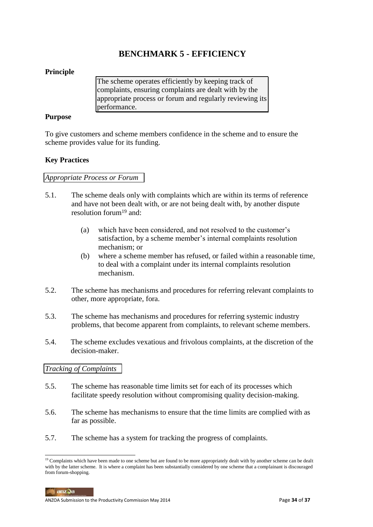## **BENCHMARK 5 - EFFICIENCY**

### **Principle**

The scheme operates efficiently by keeping track of complaints, ensuring complaints are dealt with by the appropriate process or forum and regularly reviewing its performance.

#### **Purpose**

To give customers and scheme members confidence in the scheme and to ensure the scheme provides value for its funding.

### **Key Practices**

#### *Appropriate Process or Forum*

- 5.1. The scheme deals only with complaints which are within its terms of reference and have not been dealt with, or are not being dealt with, by another dispute resolution forum<sup>19</sup> and:
	- (a) which have been considered, and not resolved to the customer's satisfaction, by a scheme member's internal complaints resolution mechanism; or
	- (b) where a scheme member has refused, or failed within a reasonable time, to deal with a complaint under its internal complaints resolution mechanism.
- 5.2. The scheme has mechanisms and procedures for referring relevant complaints to other, more appropriate, fora.
- 5.3. The scheme has mechanisms and procedures for referring systemic industry problems, that become apparent from complaints, to relevant scheme members.
- 5.4. The scheme excludes vexatious and frivolous complaints, at the discretion of the decision-maker.

## *Tracking of Complaints*

- 5.5. The scheme has reasonable time limits set for each of its processes which facilitate speedy resolution without compromising quality decision-making.
- 5.6. The scheme has mechanisms to ensure that the time limits are complied with as far as possible.
- 5.7. The scheme has a system for tracking the progress of complaints.

anz0a

<sup>&</sup>lt;sup>19</sup> Complaints which have been made to one scheme but are found to be more appropriately dealt with by another scheme can be dealt with by the latter scheme. It is where a complaint has been substantially considered by one scheme that a complainant is discouraged from forum-shopping.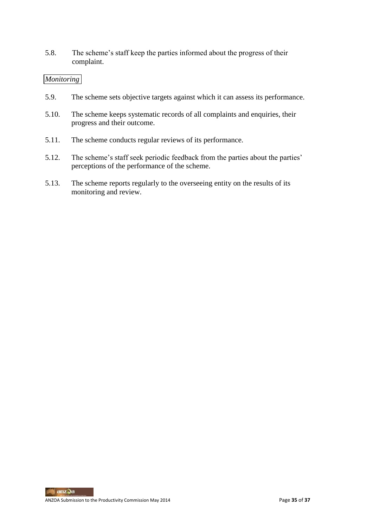5.8. The scheme's staff keep the parties informed about the progress of their complaint.

## *Monitoring*

- 5.9. The scheme sets objective targets against which it can assess its performance.
- 5.10. The scheme keeps systematic records of all complaints and enquiries, their progress and their outcome.
- 5.11. The scheme conducts regular reviews of its performance.
- 5.12. The scheme's staff seek periodic feedback from the parties about the parties' perceptions of the performance of the scheme.
- 5.13. The scheme reports regularly to the overseeing entity on the results of its monitoring and review.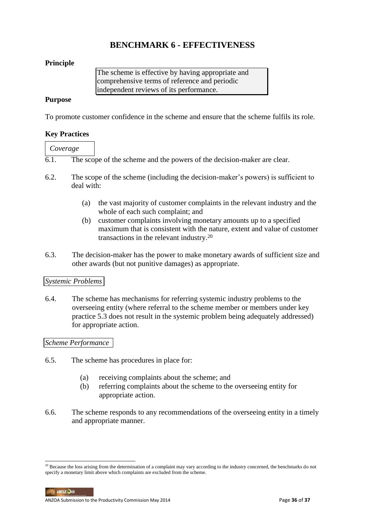## **BENCHMARK 6 - EFFECTIVENESS**

## **Principle**

The scheme is effective by having appropriate and comprehensive terms of reference and periodic independent reviews of its performance.

### **Purpose**

To promote customer confidence in the scheme and ensure that the scheme fulfils its role.

### **Key Practices**

*Coverage*

6.1. The scope of the scheme and the powers of the decision-maker are clear.

- 6.2. The scope of the scheme (including the decision-maker's powers) is sufficient to deal with:
	- (a) the vast majority of customer complaints in the relevant industry and the whole of each such complaint; and
	- (b) customer complaints involving monetary amounts up to a specified maximum that is consistent with the nature, extent and value of customer transactions in the relevant industry.<sup>20</sup>
- 6.3. The decision-maker has the power to make monetary awards of sufficient size and other awards (but not punitive damages) as appropriate.

#### *Systemic Problems*

6.4. The scheme has mechanisms for referring systemic industry problems to the overseeing entity (where referral to the scheme member or members under key practice 5.3 does not result in the systemic problem being adequately addressed) for appropriate action.

#### *Scheme Performance*

- 6.5. The scheme has procedures in place for:
	- (a) receiving complaints about the scheme; and
	- (b) referring complaints about the scheme to the overseeing entity for appropriate action.
- 6.6. The scheme responds to any recommendations of the overseeing entity in a timely and appropriate manner.

 $anz$ anz $\Im a$ 

-

 $20$  Because the loss arising from the determination of a complaint may vary according to the industry concerned, the benchmarks do not specify a monetary limit above which complaints are excluded from the scheme.